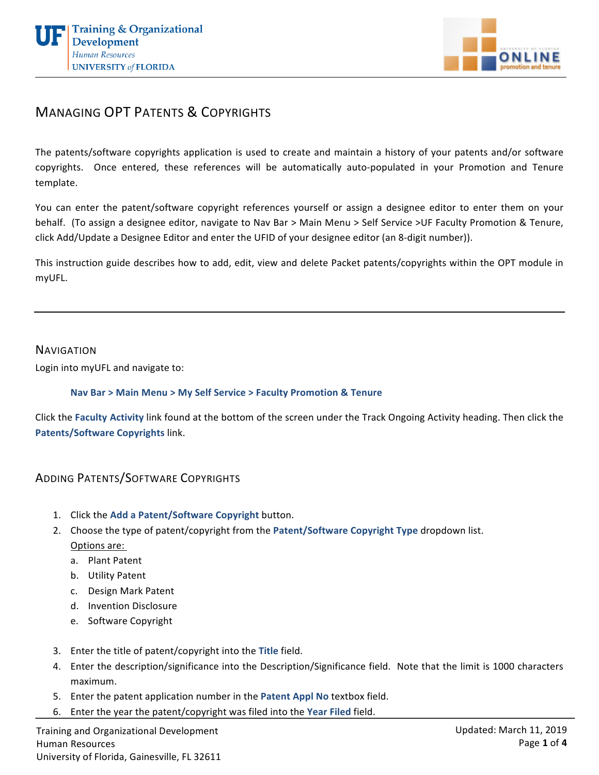



# **MANAGING OPT PATENTS & COPYRIGHTS**

The patents/software copyrights application is used to create and maintain a history of your patents and/or software copyrights. Once entered, these references will be automatically auto-populated in your Promotion and Tenure template. 

You can enter the patent/software copyright references yourself or assign a designee editor to enter them on your behalf. (To assign a designee editor, navigate to Nav Bar > Main Menu > Self Service >UF Faculty Promotion & Tenure, click Add/Update a Designee Editor and enter the UFID of your designee editor (an 8-digit number)).

This instruction guide describes how to add, edit, view and delete Packet patents/copyrights within the OPT module in myUFL.

### **NAVIGATION**

Login into myUFL and navigate to:

## **Nav Bar > Main Menu > My Self Service > Faculty Promotion & Tenure**

Click the Faculty Activity link found at the bottom of the screen under the Track Ongoing Activity heading. Then click the **Patents/Software Copyrights link.** 

# **ADDING PATENTS/SOFTWARE COPYRIGHTS**

- 1. Click the Add a Patent/Software Copyright button.
- 2. Choose the type of patent/copyright from the Patent/Software Copyright Type dropdown list. Options are:
	- a. Plant Patent
	- b. Utility Patent
	- c. Design Mark Patent
	- d. Invention Disclosure
	- e. Software Copyright
- 3. Enter the title of patent/copyright into the Title field.
- 4. Enter the description/significance into the Description/Significance field. Note that the limit is 1000 characters maximum.
- 5. Enter the patent application number in the **Patent Appl No** textbox field.
- 6. Enter the year the patent/copyright was filed into the Year Filed field.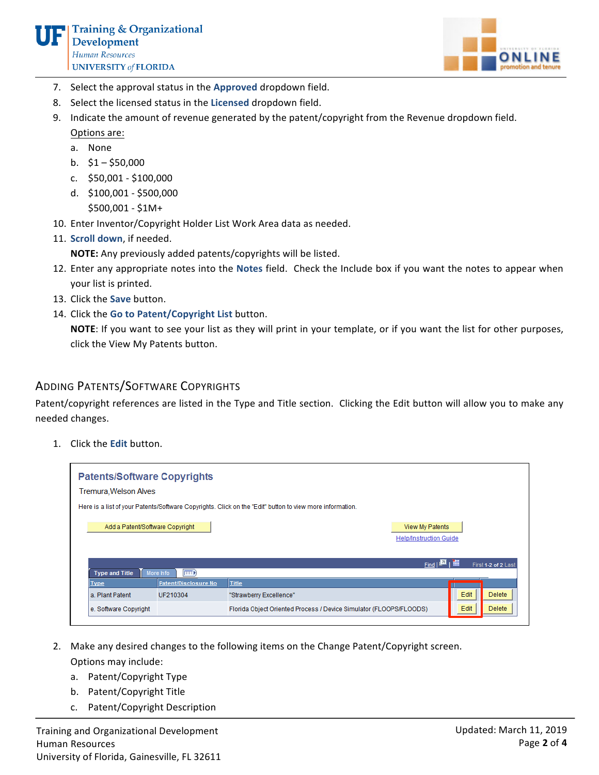

- 7. Select the approval status in the Approved dropdown field.
- 8. Select the licensed status in the Licensed dropdown field.
- 9. Indicate the amount of revenue generated by the patent/copyright from the Revenue dropdown field. Options are:
	- a. None
	- b.  $$1 $50,000$
	- c. \$50,001 - \$100,000
	- d. \$100,001 \$500,000
		- $$500,001 $1M+$
- 10. Enter Inventor/Copyright Holder List Work Area data as needed.
- 11. **Scroll down**, if needed.

**NOTE:** Any previously added patents/copyrights will be listed.

- 12. Enter any appropriate notes into the Notes field. Check the Include box if you want the notes to appear when your list is printed.
- 13. Click the **Save** button.
- 14. Click the Go to Patent/Copyright List button.

**NOTE:** If you want to see your list as they will print in your template, or if you want the list for other purposes, click the View My Patents button.

## **ADDING PATENTS/SOFTWARE COPYRIGHTS**

Patent/copyright references are listed in the Type and Title section. Clicking the Edit button will allow you to make any needed changes.

1. Click the **Edit** button.

| Tremura, Welson Alves           | <b>Patents/Software Copyrights</b> | Here is a list of your Patents/Software Copyrights. Click on the "Edit" button to view more information. |                           |
|---------------------------------|------------------------------------|----------------------------------------------------------------------------------------------------------|---------------------------|
| Add a Patent/Software Copyright |                                    | View My Patents<br><b>Help/Instruction Guide</b>                                                         |                           |
| <b>Type and Title</b>           | <b>EED</b><br>More Info            | <b>Find</b>                                                                                              | 回唱<br>First 1-2 of 2 Last |
| <b>Type</b>                     | Patent/Disclosure No               | <b>Title</b>                                                                                             |                           |
| a. Plant Patent                 | UF210304                           | "Strawberry Excellence"                                                                                  | <b>Delete</b><br>Edit     |
| e. Software Copyright           |                                    | Florida Object Oriented Process / Device Simulator (FLOOPS/FLOODS)                                       | Edit<br><b>Delete</b>     |

- 2. Make any desired changes to the following items on the Change Patent/Copyright screen. Options may include:
	- a. Patent/Copyright Type
	- b. Patent/Copyright Title
	- c. Patent/Copyright Description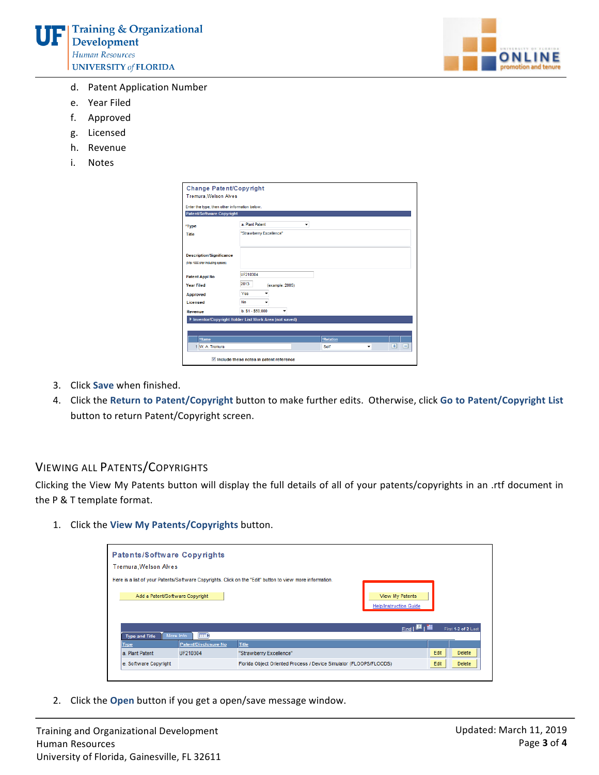



- d. Patent Application Number
- e. Year Filed
- f. Approved
- g. Licensed
- h. Revenue
- i. Notes

| Change Patent/Copyright                                             |                                                      |
|---------------------------------------------------------------------|------------------------------------------------------|
| <b>Tremura, Welson Alves</b>                                        |                                                      |
| Enter the type, then other information below.                       |                                                      |
| <b>Patent/Software Copyright</b>                                    |                                                      |
| *Type                                                               | a. Plant Patent<br>۰                                 |
| Title                                                               | "Strawberry Excellence"                              |
|                                                                     |                                                      |
|                                                                     |                                                      |
| <b>Description/Significance</b><br>(Max 1000 char Including spaces) |                                                      |
|                                                                     |                                                      |
| <b>Patent Appl No</b>                                               | UF210304                                             |
| <b>Year Filed</b>                                                   | 2013<br>(example: 2005)                              |
| <b>Approved</b>                                                     | Yes<br>-                                             |
| Licensed                                                            | No<br>۰                                              |
| Revenue                                                             | $b. $1 - $50,000$<br>۰                               |
|                                                                     | Inventor/Copyright Holder List Work Area (not saved) |
|                                                                     |                                                      |
| *Name                                                               | *Relation                                            |
| 1 W. A. Tremura                                                     | $+$ $-$<br>Self<br>۰                                 |
|                                                                     | Include these notes in patent reference              |

- 3. Click **Save** when finished.
- 4. Click the Return to Patent/Copyright button to make further edits. Otherwise, click Go to Patent/Copyright List button to return Patent/Copyright screen.

### VIEWING ALL PATENTS/COPYRIGHTS

Clicking the View My Patents button will display the full details of all of your patents/copyrights in an .rtf document in the P & T template format.

1. Click the View My Patents/Copyrights button.

| <b>Tremura, Welson Alves</b>    | <b>Patents/Software Copyrights</b> |                                                                                                          |                               |      |                     |
|---------------------------------|------------------------------------|----------------------------------------------------------------------------------------------------------|-------------------------------|------|---------------------|
|                                 |                                    |                                                                                                          |                               |      |                     |
|                                 |                                    | Here is a list of your Patents/Software Copyrights. Click on the "Edit" button to view more information. |                               |      |                     |
| Add a Patent/Software Copyright |                                    |                                                                                                          | View My Patents               |      |                     |
|                                 |                                    |                                                                                                          |                               |      |                     |
|                                 |                                    |                                                                                                          | <b>Help/Instruction Guide</b> |      |                     |
|                                 |                                    |                                                                                                          |                               |      |                     |
|                                 |                                    |                                                                                                          |                               |      | First 1-2 of 2 Last |
| <b>Type and Title</b>           | <b>EHD</b><br>More Info            |                                                                                                          |                               |      |                     |
| <b>Type</b>                     | <b>Patent/Disclosure No</b>        | <b>Title</b>                                                                                             |                               |      |                     |
| a. Plant Patent                 | UF210304                           | "Strawberry Excellence"                                                                                  |                               | Edit | <b>Delete</b>       |

2. Click the **Open** button if you get a open/save message window.